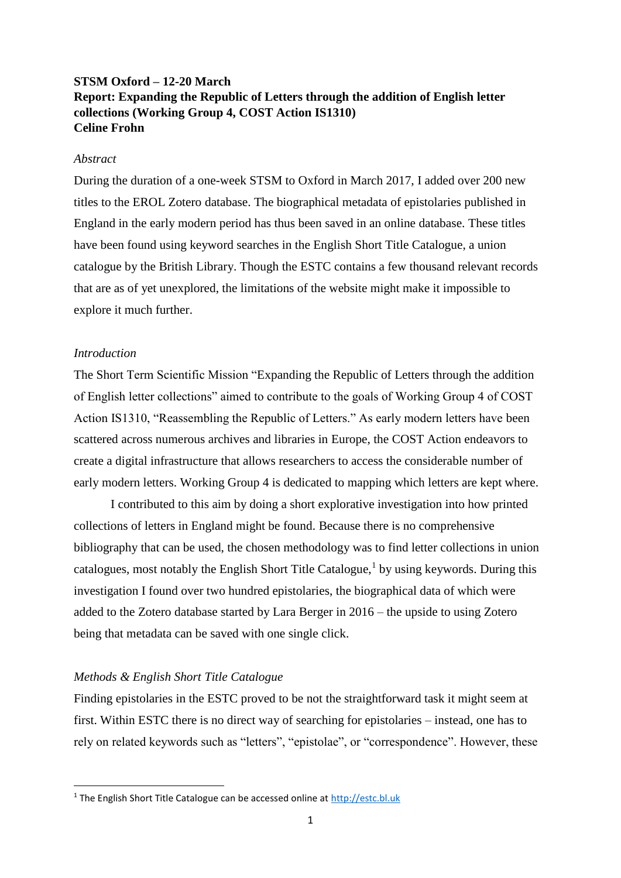# **STSM Oxford – 12-20 March Report: Expanding the Republic of Letters through the addition of English letter collections (Working Group 4, COST Action IS1310) Celine Frohn**

## *Abstract*

During the duration of a one-week STSM to Oxford in March 2017, I added over 200 new titles to the EROL Zotero database. The biographical metadata of epistolaries published in England in the early modern period has thus been saved in an online database. These titles have been found using keyword searches in the English Short Title Catalogue, a union catalogue by the British Library. Though the ESTC contains a few thousand relevant records that are as of yet unexplored, the limitations of the website might make it impossible to explore it much further.

# *Introduction*

**.** 

The Short Term Scientific Mission "Expanding the Republic of Letters through the addition of English letter collections" aimed to contribute to the goals of Working Group 4 of COST Action IS1310, "Reassembling the Republic of Letters." As early modern letters have been scattered across numerous archives and libraries in Europe, the COST Action endeavors to create a digital infrastructure that allows researchers to access the considerable number of early modern letters. Working Group 4 is dedicated to mapping which letters are kept where.

I contributed to this aim by doing a short explorative investigation into how printed collections of letters in England might be found. Because there is no comprehensive bibliography that can be used, the chosen methodology was to find letter collections in union catalogues, most notably the English Short Title Catalogue,<sup>1</sup> by using keywords. During this investigation I found over two hundred epistolaries, the biographical data of which were added to the Zotero database started by Lara Berger in 2016 – the upside to using Zotero being that metadata can be saved with one single click.

# *Methods & English Short Title Catalogue*

Finding epistolaries in the ESTC proved to be not the straightforward task it might seem at first. Within ESTC there is no direct way of searching for epistolaries – instead, one has to rely on related keywords such as "letters", "epistolae", or "correspondence". However, these

<sup>1</sup> The English Short Title Catalogue can be accessed online at [http://estc.bl.uk](http://estc.bl.uk/)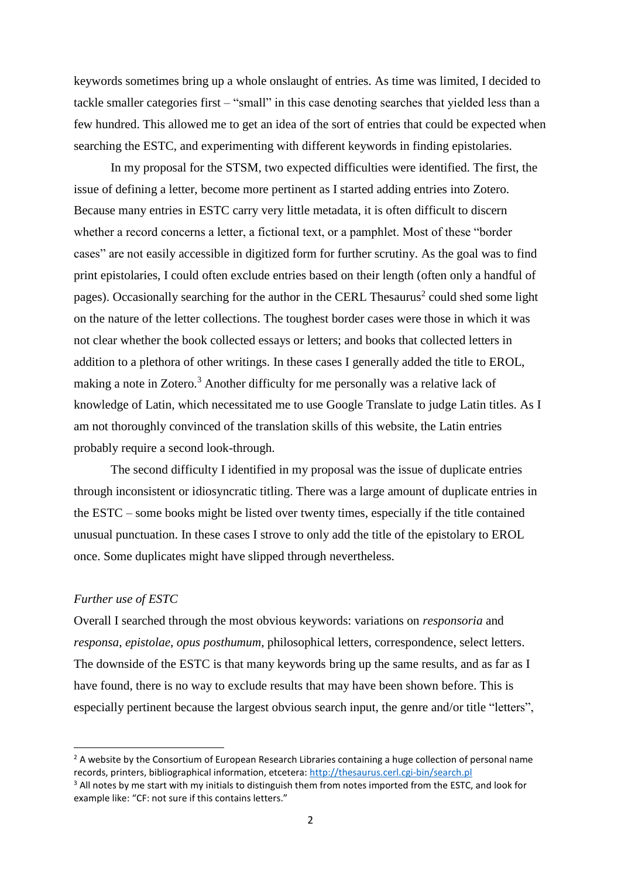keywords sometimes bring up a whole onslaught of entries. As time was limited, I decided to tackle smaller categories first – "small" in this case denoting searches that yielded less than a few hundred. This allowed me to get an idea of the sort of entries that could be expected when searching the ESTC, and experimenting with different keywords in finding epistolaries.

In my proposal for the STSM, two expected difficulties were identified. The first, the issue of defining a letter, become more pertinent as I started adding entries into Zotero. Because many entries in ESTC carry very little metadata, it is often difficult to discern whether a record concerns a letter, a fictional text, or a pamphlet. Most of these "border cases" are not easily accessible in digitized form for further scrutiny. As the goal was to find print epistolaries, I could often exclude entries based on their length (often only a handful of pages). Occasionally searching for the author in the CERL Thesaurus<sup>2</sup> could shed some light on the nature of the letter collections. The toughest border cases were those in which it was not clear whether the book collected essays or letters; and books that collected letters in addition to a plethora of other writings. In these cases I generally added the title to EROL, making a note in Zotero.<sup>3</sup> Another difficulty for me personally was a relative lack of knowledge of Latin, which necessitated me to use Google Translate to judge Latin titles. As I am not thoroughly convinced of the translation skills of this website, the Latin entries probably require a second look-through.

The second difficulty I identified in my proposal was the issue of duplicate entries through inconsistent or idiosyncratic titling. There was a large amount of duplicate entries in the ESTC – some books might be listed over twenty times, especially if the title contained unusual punctuation. In these cases I strove to only add the title of the epistolary to EROL once. Some duplicates might have slipped through nevertheless.

### *Further use of ESTC*

1

Overall I searched through the most obvious keywords: variations on *responsoria* and *responsa*, *epistolae*, *opus posthumum*, philosophical letters, correspondence, select letters. The downside of the ESTC is that many keywords bring up the same results, and as far as I have found, there is no way to exclude results that may have been shown before. This is especially pertinent because the largest obvious search input, the genre and/or title "letters",

 $<sup>2</sup>$  A website by the Consortium of European Research Libraries containing a huge collection of personal name</sup> records, printers, bibliographical information, etcetera:<http://thesaurus.cerl.cgi-bin/search.pl>

<sup>&</sup>lt;sup>3</sup> All notes by me start with my initials to distinguish them from notes imported from the ESTC, and look for example like: "CF: not sure if this contains letters."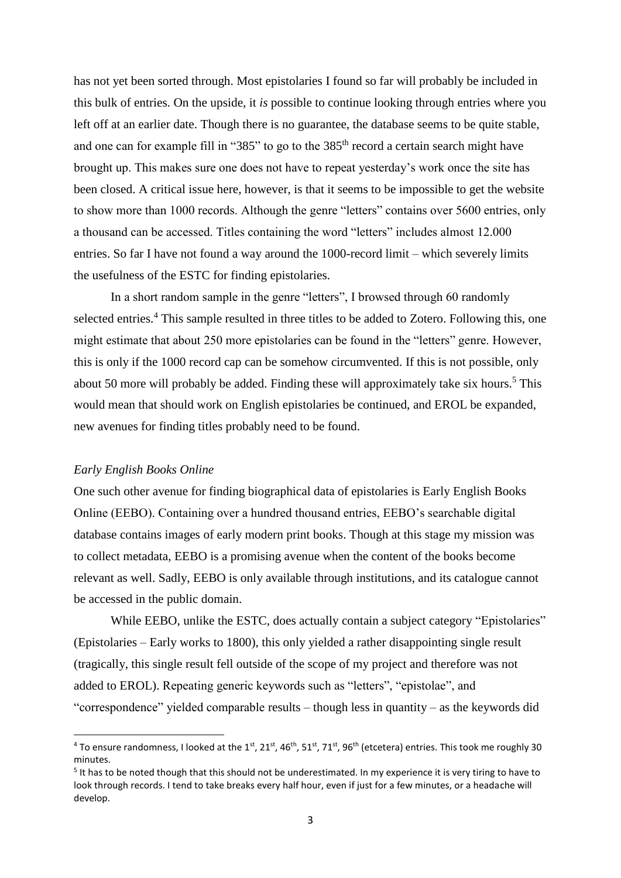has not yet been sorted through. Most epistolaries I found so far will probably be included in this bulk of entries. On the upside, it *is* possible to continue looking through entries where you left off at an earlier date. Though there is no guarantee, the database seems to be quite stable, and one can for example fill in "385" to go to the 385<sup>th</sup> record a certain search might have brought up. This makes sure one does not have to repeat yesterday's work once the site has been closed. A critical issue here, however, is that it seems to be impossible to get the website to show more than 1000 records. Although the genre "letters" contains over 5600 entries, only a thousand can be accessed. Titles containing the word "letters" includes almost 12.000 entries. So far I have not found a way around the 1000-record limit – which severely limits the usefulness of the ESTC for finding epistolaries.

In a short random sample in the genre "letters", I browsed through 60 randomly selected entries.<sup>4</sup> This sample resulted in three titles to be added to Zotero. Following this, one might estimate that about 250 more epistolaries can be found in the "letters" genre. However, this is only if the 1000 record cap can be somehow circumvented. If this is not possible, only about 50 more will probably be added. Finding these will approximately take six hours.<sup>5</sup> This would mean that should work on English epistolaries be continued, and EROL be expanded, new avenues for finding titles probably need to be found.

# *Early English Books Online*

**.** 

One such other avenue for finding biographical data of epistolaries is Early English Books Online (EEBO). Containing over a hundred thousand entries, EEBO's searchable digital database contains images of early modern print books. Though at this stage my mission was to collect metadata, EEBO is a promising avenue when the content of the books become relevant as well. Sadly, EEBO is only available through institutions, and its catalogue cannot be accessed in the public domain.

While EEBO, unlike the ESTC, does actually contain a subject category "Epistolaries" (Epistolaries – Early works to 1800), this only yielded a rather disappointing single result (tragically, this single result fell outside of the scope of my project and therefore was not added to EROL). Repeating generic keywords such as "letters", "epistolae", and "correspondence" yielded comparable results – though less in quantity – as the keywords did

<sup>&</sup>lt;sup>4</sup> To ensure randomness, I looked at the 1<sup>st</sup>, 21<sup>st</sup>, 46<sup>th</sup>, 51<sup>st</sup>, 71<sup>st</sup>, 96<sup>th</sup> (etcetera) entries. This took me roughly 30 minutes.

<sup>&</sup>lt;sup>5</sup> It has to be noted though that this should not be underestimated. In my experience it is very tiring to have to look through records. I tend to take breaks every half hour, even if just for a few minutes, or a headache will develop.